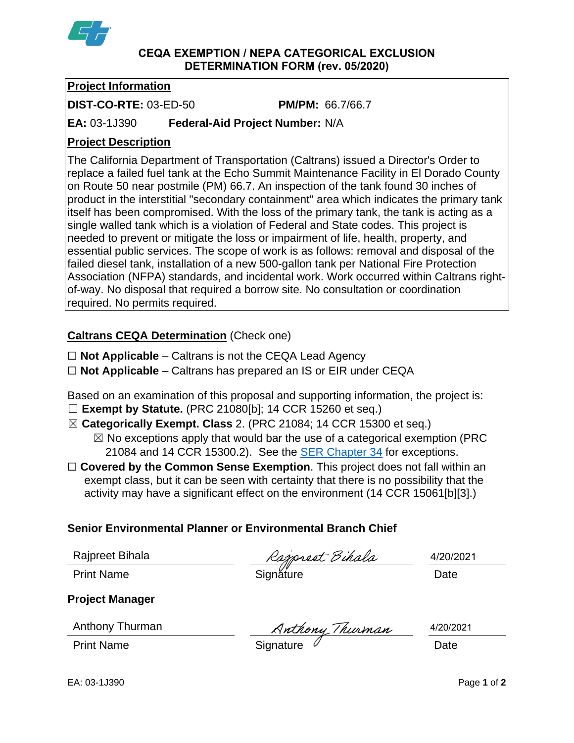

**CEQA EXEMPTION / NEPA CATEGORICAL EXCLUSION DETERMINATION FORM (rev. 05/2020)**

## **Project Information**

**DIST-CO-RTE:** 03-ED-50 **PM/PM:** 66.7/66.7

**EA:** 03-1J390 **Federal-Aid Project Number:** N/A

# **Project Description**

The California Department of Transportation (Caltrans) issued a Director's Order to replace a failed fuel tank at the Echo Summit Maintenance Facility in El Dorado County on Route 50 near postmile (PM) 66.7. An inspection of the tank found 30 inches of product in the interstitial "secondary containment" area which indicates the primary tank itself has been compromised. With the loss of the primary tank, the tank is acting as a single walled tank which is a violation of Federal and State codes. This project is needed to prevent or mitigate the loss or impairment of life, health, property, and essential public services. The scope of work is as follows: removal and disposal of the failed diesel tank, installation of a new 500-gallon tank per National Fire Protection Association (NFPA) standards, and incidental work. Work occurred within Caltrans rightof-way. No disposal that required a borrow site. No consultation or coordination required. No permits required.

# **Caltrans CEQA Determination** (Check one)

- ☐ **Not Applicable** Caltrans is not the CEQA Lead Agency
- ☐ **Not Applicable** Caltrans has prepared an IS or EIR under CEQA

Based on an examination of this proposal and supporting information, the project is:

- ☐ **Exempt by Statute.** (PRC 21080[b]; 14 CCR 15260 et seq.)
- ☒ **Categorically Exempt. Class** 2. (PRC 21084; 14 CCR 15300 et seq.)
	- $\boxtimes$  No exceptions apply that would bar the use of a categorical exemption (PRC 21084 and 14 CCR 15300.2). See the [SER Chapter 34](https://dot.ca.gov/programs/environmental-analysis/standard-environmental-reference-ser/volume-1-guidance-for-compliance/ch-34-exemptions-to-ceqa#except) for exceptions.
- □ **Covered by the Common Sense Exemption**. This project does not fall within an exempt class, but it can be seen with certainty that there is no possibility that the activity may have a significant effect on the environment (14 CCR 15061[b][3].)

## **Senior Environmental Planner or Environmental Branch Chief**

|  | Rajpreet Bihala |  |
|--|-----------------|--|

ajpreet Bihala

4/20/2021

Print Name Signature Date

Anthony Thurman

**Project Manager**

Anthony Thurman Muthony Thurman 4/20/20<br>Print Name Signature

4/20/2021

EA: 03-1J390 Page **1** of **2**